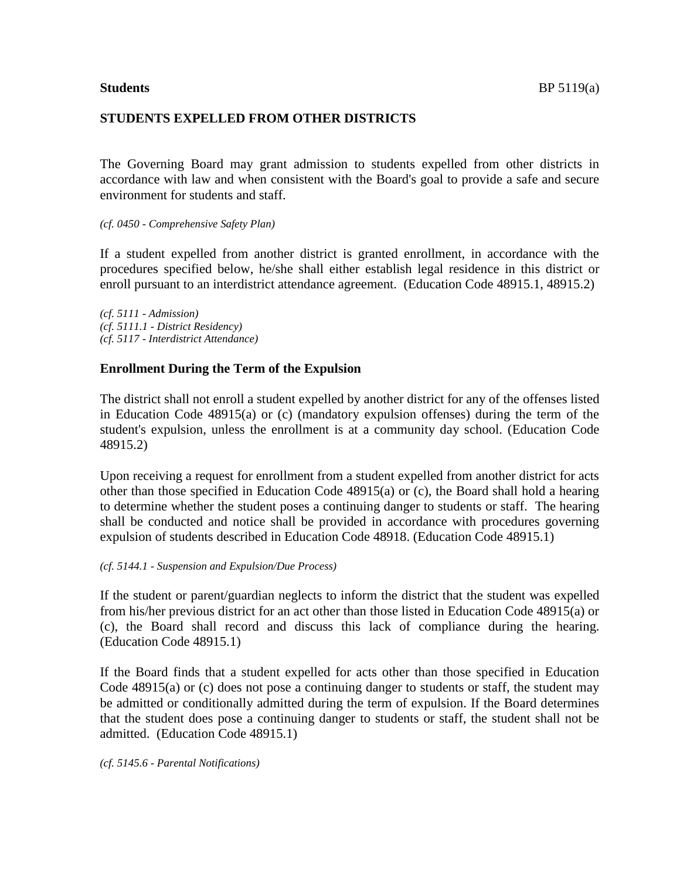## **STUDENTS EXPELLED FROM OTHER DISTRICTS**

The Governing Board may grant admission to students expelled from other districts in accordance with law and when consistent with the Board's goal to provide a safe and secure environment for students and staff.

#### *(cf. 0450 - Comprehensive Safety Plan)*

If a student expelled from another district is granted enrollment, in accordance with the procedures specified below, he/she shall either establish legal residence in this district or enroll pursuant to an interdistrict attendance agreement. (Education Code 48915.1, 48915.2)

*(cf. 5111 - Admission) (cf. 5111.1 - District Residency) (cf. 5117 - Interdistrict Attendance)*

## **Enrollment During the Term of the Expulsion**

The district shall not enroll a student expelled by another district for any of the offenses listed in Education Code 48915(a) or (c) (mandatory expulsion offenses) during the term of the student's expulsion, unless the enrollment is at a community day school. (Education Code 48915.2)

Upon receiving a request for enrollment from a student expelled from another district for acts other than those specified in Education Code 48915(a) or (c), the Board shall hold a hearing to determine whether the student poses a continuing danger to students or staff. The hearing shall be conducted and notice shall be provided in accordance with procedures governing expulsion of students described in Education Code 48918. (Education Code 48915.1)

#### *(cf. 5144.1 - Suspension and Expulsion/Due Process)*

If the student or parent/guardian neglects to inform the district that the student was expelled from his/her previous district for an act other than those listed in Education Code 48915(a) or (c), the Board shall record and discuss this lack of compliance during the hearing. (Education Code 48915.1)

If the Board finds that a student expelled for acts other than those specified in Education Code  $48915(a)$  or (c) does not pose a continuing danger to students or staff, the student may be admitted or conditionally admitted during the term of expulsion. If the Board determines that the student does pose a continuing danger to students or staff, the student shall not be admitted. (Education Code 48915.1)

*(cf. 5145.6 - Parental Notifications)*